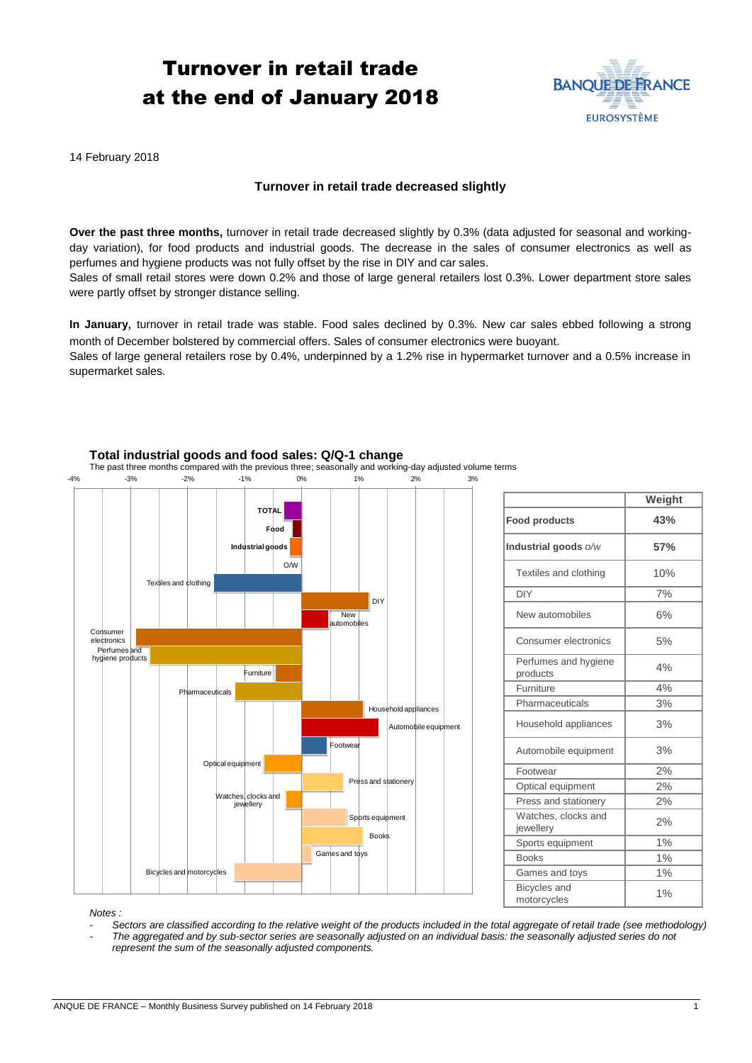# Turnover in retail trade at the end of January 2018



14 February 2018

## **Turnover in retail trade decreased slightly**

**Over the past three months,** turnover in retail trade decreased slightly by 0.3% (data adjusted for seasonal and workingday variation), for food products and industrial goods. The decrease in the sales of consumer electronics as well as perfumes and hygiene products was not fully offset by the rise in DIY and car sales.

Sales of small retail stores were down 0.2% and those of large general retailers lost 0.3%. Lower department store sales were partly offset by stronger distance selling.

**In January**, turnover in retail trade was stable. Food sales declined by 0.3%. New car sales ebbed following a strong month of December bolstered by commercial offers. Sales of consumer electronics were buoyant.

Sales of large general retailers rose by 0.4%, underpinned by a 1.2% rise in hypermarket turnover and a 0.5% increase in supermarket sales.



## **Total industrial goods and food sales: Q/Q-1 change**

The past three months compared with the previous three; seasonally and working-day adjusted volume terms

|                                    | Weight |
|------------------------------------|--------|
| <b>Food products</b>               | 43%    |
| Industrial goods o/w               | 57%    |
| Textiles and clothing              | 10%    |
| <b>DIY</b>                         | 7%     |
| New automobiles                    | 6%     |
| Consumer electronics               | 5%     |
| Perfumes and hygiene<br>products   | 4%     |
| Furniture                          | 4%     |
| Pharmaceuticals                    | 3%     |
| Household appliances               | 3%     |
| Automobile equipment               | 3%     |
| Footwear                           | 2%     |
| Optical equipment                  | 2%     |
| Press and stationery               | 2%     |
| Watches, clocks and<br>jewellery   | 2%     |
| Sports equipment                   | 1%     |
| <b>Books</b>                       | 1%     |
| Games and toys                     | 1%     |
| <b>Bicycles</b> and<br>motorcycles | 1%     |

*Notes :* 

*- Sectors are classified according to the relative weight of the products included in the total aggregate of retail trade (see methodology) - The aggregated and by sub-sector series are seasonally adjusted on an individual basis: the seasonally adjusted series do not represent the sum of the seasonally adjusted components.*